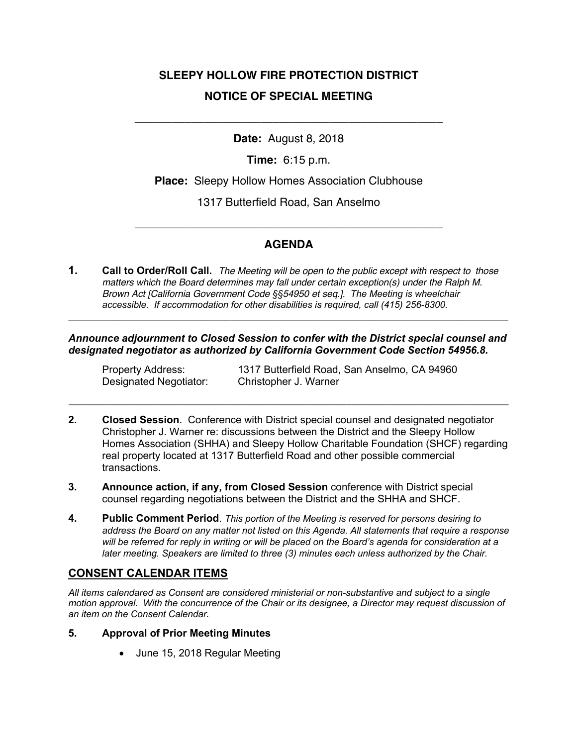# **SLEEPY HOLLOW FIRE PROTECTION DISTRICT NOTICE OF SPECIAL MEETING**

**Date:** August 8, 2018

\_\_\_\_\_\_\_\_\_\_\_\_\_\_\_\_\_\_\_\_\_\_\_\_\_\_\_\_\_\_\_\_\_\_\_\_\_\_\_\_\_\_\_\_\_\_\_\_\_

**Time:** 6:15 p.m.

**Place:** Sleepy Hollow Homes Association Clubhouse

1317 Butterfield Road, San Anselmo

## **AGENDA**

\_\_\_\_\_\_\_\_\_\_\_\_\_\_\_\_\_\_\_\_\_\_\_\_\_\_\_\_\_\_\_\_\_\_\_\_\_\_\_\_\_\_\_\_\_\_\_\_\_

**1. Call to Order/Roll Call.** *The Meeting will be open to the public except with respect to those matters which the Board determines may fall under certain exception(s) under the Ralph M. Brown Act [California Government Code §§54950 et seq.]. The Meeting is wheelchair accessible. If accommodation for other disabilities is required, call (415) 256-8300.*

*Announce adjournment to Closed Session to confer with the District special counsel and designated negotiator as authorized by California Government Code Section 54956.8.*

**\_\_\_\_\_\_\_\_\_\_\_\_\_\_\_\_\_\_\_\_\_\_\_\_\_\_\_\_\_\_\_\_\_\_\_\_\_\_\_\_\_\_\_\_\_\_\_\_\_\_\_\_\_\_\_\_\_\_\_\_\_\_\_\_\_\_\_\_\_\_\_\_\_\_\_\_\_\_\_\_\_\_\_\_**

Designated Negotiator: Christopher J. Warner

Property Address: 1317 Butterfield Road, San Anselmo, CA 94960

**2. Closed Session**. Conference with District special counsel and designated negotiator Christopher J. Warner re: discussions between the District and the Sleepy Hollow Homes Association (SHHA) and Sleepy Hollow Charitable Foundation (SHCF) regarding real property located at 1317 Butterfield Road and other possible commercial transactions.

**\_\_\_\_\_\_\_\_\_\_\_\_\_\_\_\_\_\_\_\_\_\_\_\_\_\_\_\_\_\_\_\_\_\_\_\_\_\_\_\_\_\_\_\_\_\_\_\_\_\_\_\_\_\_\_\_\_\_\_\_\_\_\_\_\_\_\_\_\_\_\_\_\_\_\_\_\_\_\_\_\_\_\_\_**

- **3. Announce action, if any, from Closed Session** conference with District special counsel regarding negotiations between the District and the SHHA and SHCF.
- **4. Public Comment Period**. *This portion of the Meeting is reserved for persons desiring to address the Board on any matter not listed on this Agenda. All statements that require a response will be referred for reply in writing or will be placed on the Board's agenda for consideration at a later meeting. Speakers are limited to three (3) minutes each unless authorized by the Chair.*

### **CONSENT CALENDAR ITEMS**

*All items calendared as Consent are considered ministerial or non-substantive and subject to a single motion approval. With the concurrence of the Chair or its designee, a Director may request discussion of an item on the Consent Calendar.*

#### **5. Approval of Prior Meeting Minutes**

• June 15, 2018 Regular Meeting